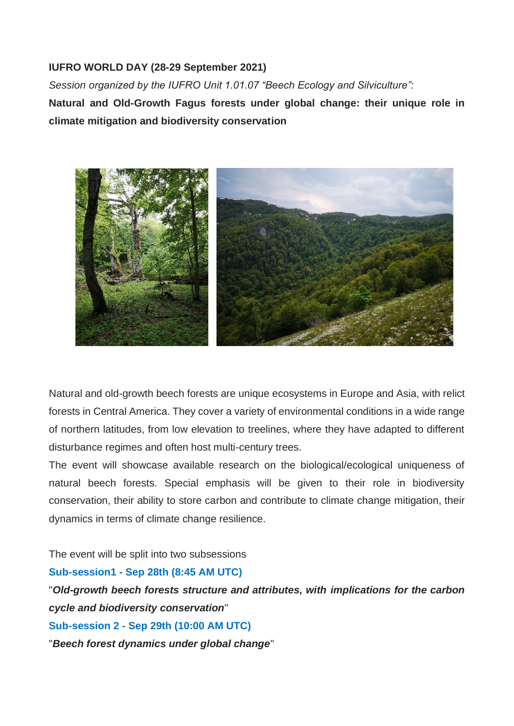## **IUFRO WORLD DAY (28-29 September 2021)**

*Session organized by the IUFRO Unit 1.01.07 "Beech Ecology and Silviculture":* **Natural and Old-Growth Fagus forests under global change: their unique role in climate mitigation and biodiversity conservation**



Natural and old-growth beech forests are unique ecosystems in Europe and Asia, with relict forests in Central America. They cover a variety of environmental conditions in a wide range of northern latitudes, from low elevation to treelines, where they have adapted to different disturbance regimes and often host multi-century trees.

The event will showcase available research on the biological/ecological uniqueness of natural beech forests. Special emphasis will be given to their role in biodiversity conservation, their ability to store carbon and contribute to climate change mitigation, their dynamics in terms of climate change resilience.

The event will be split into two subsessions

## **Sub-session1 - Sep 28th (8:45 AM UTC)**

"*Old-growth beech forests structure and attributes, with implications for the carbon cycle and biodiversity conservation*" **Sub-session 2 - Sep 29th (10:00 AM UTC)**

"*Beech forest dynamics under global change*"